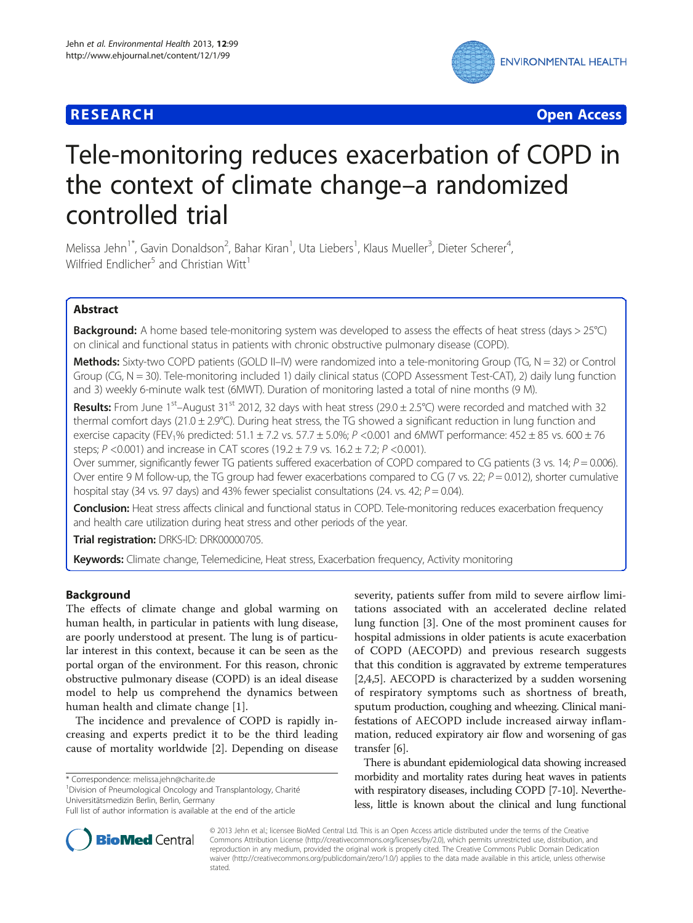# **RESEARCH CHE Open Access**



# Tele-monitoring reduces exacerbation of COPD in the context of climate change–a randomized controlled trial

Melissa Jehn<sup>1\*</sup>, Gavin Donaldson<sup>2</sup>, Bahar Kiran<sup>1</sup>, Uta Liebers<sup>1</sup>, Klaus Mueller<sup>3</sup>, Dieter Scherer<sup>4</sup> , Wilfried Endlicher<sup>5</sup> and Christian Witt<sup>1</sup>

# Abstract

Background: A home based tele-monitoring system was developed to assess the effects of heat stress (days > 25°C) on clinical and functional status in patients with chronic obstructive pulmonary disease (COPD).

Methods: Sixty-two COPD patients (GOLD II–IV) were randomized into a tele-monitoring Group (TG, N = 32) or Control Group (CG, N = 30). Tele-monitoring included 1) daily clinical status (COPD Assessment Test-CAT), 2) daily lung function and 3) weekly 6-minute walk test (6MWT). Duration of monitoring lasted a total of nine months (9 M).

Results: From June 1<sup>st</sup>–August 31<sup>st</sup> 2012, 32 days with heat stress (29.0 ± 2.5°C) were recorded and matched with 32 thermal comfort days (21.0 ± 2.9°C). During heat stress, the TG showed a significant reduction in lung function and exercise capacity (FEV<sub>1</sub>% predicted: 51.1  $\pm$  7.2 vs. 57.7  $\pm$  5.0%; P <0.001 and 6MWT performance: 452  $\pm$  85 vs. 600  $\pm$  76 steps;  $P < 0.001$ ) and increase in CAT scores (19.2  $\pm$  7.9 vs. 16.2  $\pm$  7.2;  $P < 0.001$ ).

Over summer, significantly fewer TG patients suffered exacerbation of COPD compared to CG patients (3 vs. 14;  $P = 0.006$ ). Over entire 9 M follow-up, the TG group had fewer exacerbations compared to CG (7 vs. 22;  $P = 0.012$ ), shorter cumulative hospital stay (34 vs. 97 days) and 43% fewer specialist consultations (24. vs. 42;  $P = 0.04$ ).

Conclusion: Heat stress affects clinical and functional status in COPD. Tele-monitoring reduces exacerbation frequency and health care utilization during heat stress and other periods of the year.

Trial registration: DRKS-ID: [DRK00000705](https://drks-neu.uniklinik-freiburg.de/drks_web DRKS00000705).

Keywords: Climate change, Telemedicine, Heat stress, Exacerbation frequency, Activity monitoring

# Background

The effects of climate change and global warming on human health, in particular in patients with lung disease, are poorly understood at present. The lung is of particular interest in this context, because it can be seen as the portal organ of the environment. For this reason, chronic obstructive pulmonary disease (COPD) is an ideal disease model to help us comprehend the dynamics between human health and climate change [[1\]](#page-7-0).

The incidence and prevalence of COPD is rapidly increasing and experts predict it to be the third leading cause of mortality worldwide [\[2](#page-7-0)]. Depending on disease

<sup>1</sup> Division of Pneumological Oncology and Transplantology, Charité Universitätsmedizin Berlin, Berlin, Germany



There is abundant epidemiological data showing increased morbidity and mortality rates during heat waves in patients with respiratory diseases, including COPD [[7](#page-7-0)-[10\]](#page-7-0). Nevertheless, little is known about the clinical and lung functional



© 2013 Jehn et al.; licensee BioMed Central Ltd. This is an Open Access article distributed under the terms of the Creative Commons Attribution License [\(http://creativecommons.org/licenses/by/2.0\)](http://creativecommons.org/licenses/by/2.0), which permits unrestricted use, distribution, and reproduction in any medium, provided the original work is properly cited. The Creative Commons Public Domain Dedication waiver [\(http://creativecommons.org/publicdomain/zero/1.0/\)](http://creativecommons.org/publicdomain/zero/1.0/) applies to the data made available in this article, unless otherwise stated.

<sup>\*</sup> Correspondence: [melissa.jehn@charite.de](mailto:melissa.jehn@charite.de) <sup>1</sup>

Full list of author information is available at the end of the article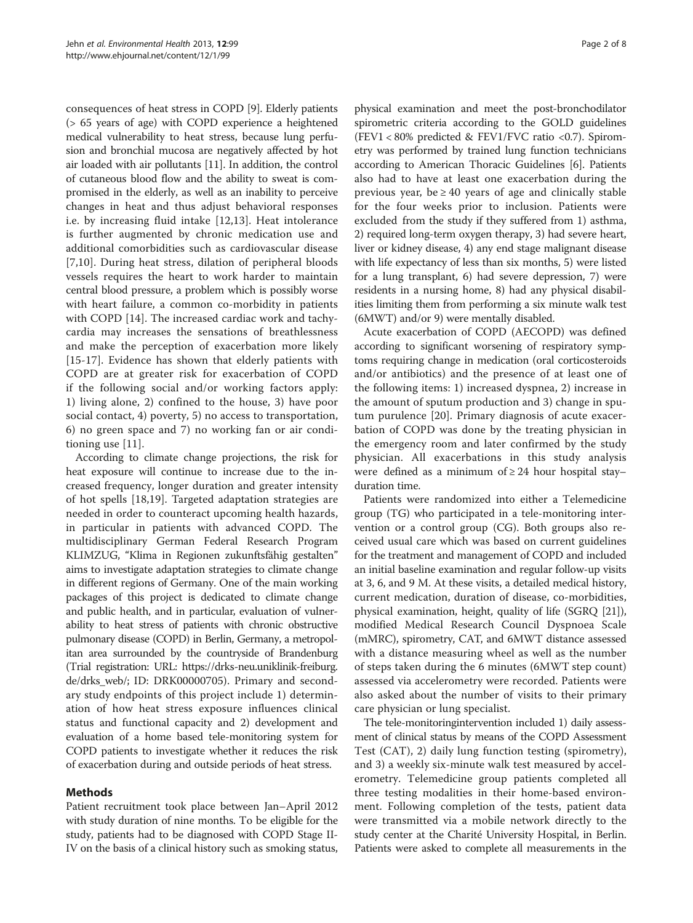consequences of heat stress in COPD [[9](#page-7-0)]. Elderly patients (> 65 years of age) with COPD experience a heightened medical vulnerability to heat stress, because lung perfusion and bronchial mucosa are negatively affected by hot air loaded with air pollutants [\[11\]](#page-7-0). In addition, the control of cutaneous blood flow and the ability to sweat is compromised in the elderly, as well as an inability to perceive changes in heat and thus adjust behavioral responses i.e. by increasing fluid intake [\[12](#page-7-0),[13\]](#page-7-0). Heat intolerance is further augmented by chronic medication use and additional comorbidities such as cardiovascular disease [[7,10](#page-7-0)]. During heat stress, dilation of peripheral bloods vessels requires the heart to work harder to maintain central blood pressure, a problem which is possibly worse with heart failure, a common co-morbidity in patients with COPD [\[14](#page-7-0)]. The increased cardiac work and tachycardia may increases the sensations of breathlessness and make the perception of exacerbation more likely [[15-17\]](#page-7-0). Evidence has shown that elderly patients with COPD are at greater risk for exacerbation of COPD if the following social and/or working factors apply: 1) living alone, 2) confined to the house, 3) have poor social contact, 4) poverty, 5) no access to transportation, 6) no green space and 7) no working fan or air conditioning use [[11\]](#page-7-0).

According to climate change projections, the risk for heat exposure will continue to increase due to the increased frequency, longer duration and greater intensity of hot spells [\[18,19](#page-7-0)]. Targeted adaptation strategies are needed in order to counteract upcoming health hazards, in particular in patients with advanced COPD. The multidisciplinary German Federal Research Program KLIMZUG, "Klima in Regionen zukunftsfähig gestalten" aims to investigate adaptation strategies to climate change in different regions of Germany. One of the main working packages of this project is dedicated to climate change and public health, and in particular, evaluation of vulnerability to heat stress of patients with chronic obstructive pulmonary disease (COPD) in Berlin, Germany, a metropolitan area surrounded by the countryside of Brandenburg (Trial registration: URL: [https://drks-neu.uniklinik-freiburg.](https://drks-neu.uniklinik-freiburg.de/drks_web/) [de/drks\\_web/](https://drks-neu.uniklinik-freiburg.de/drks_web/); ID: DRK00000705). Primary and secondary study endpoints of this project include 1) determination of how heat stress exposure influences clinical status and functional capacity and 2) development and evaluation of a home based tele-monitoring system for COPD patients to investigate whether it reduces the risk of exacerbation during and outside periods of heat stress.

## Methods

Patient recruitment took place between Jan–April 2012 with study duration of nine months. To be eligible for the study, patients had to be diagnosed with COPD Stage II-IV on the basis of a clinical history such as smoking status,

physical examination and meet the post-bronchodilator spirometric criteria according to the GOLD guidelines (FEV1 < 80% predicted & FEV1/FVC ratio <0.7). Spirometry was performed by trained lung function technicians according to American Thoracic Guidelines [[6](#page-7-0)]. Patients also had to have at least one exacerbation during the previous year, be  $\geq 40$  years of age and clinically stable for the four weeks prior to inclusion. Patients were excluded from the study if they suffered from 1) asthma, 2) required long-term oxygen therapy, 3) had severe heart, liver or kidney disease, 4) any end stage malignant disease with life expectancy of less than six months, 5) were listed for a lung transplant, 6) had severe depression, 7) were residents in a nursing home, 8) had any physical disabilities limiting them from performing a six minute walk test (6MWT) and/or 9) were mentally disabled.

Acute exacerbation of COPD (AECOPD) was defined according to significant worsening of respiratory symptoms requiring change in medication (oral corticosteroids and/or antibiotics) and the presence of at least one of the following items: 1) increased dyspnea, 2) increase in the amount of sputum production and 3) change in sputum purulence [[20\]](#page-7-0). Primary diagnosis of acute exacerbation of COPD was done by the treating physician in the emergency room and later confirmed by the study physician. All exacerbations in this study analysis were defined as a minimum of  $\geq 24$  hour hospital stayduration time.

Patients were randomized into either a Telemedicine group (TG) who participated in a tele-monitoring intervention or a control group (CG). Both groups also received usual care which was based on current guidelines for the treatment and management of COPD and included an initial baseline examination and regular follow-up visits at 3, 6, and 9 M. At these visits, a detailed medical history, current medication, duration of disease, co-morbidities, physical examination, height, quality of life (SGRQ [[21](#page-7-0)]), modified Medical Research Council Dyspnoea Scale (mMRC), spirometry, CAT, and 6MWT distance assessed with a distance measuring wheel as well as the number of steps taken during the 6 minutes (6MWT step count) assessed via accelerometry were recorded. Patients were also asked about the number of visits to their primary care physician or lung specialist.

The tele-monitoringintervention included 1) daily assessment of clinical status by means of the COPD Assessment Test (CAT), 2) daily lung function testing (spirometry), and 3) a weekly six-minute walk test measured by accelerometry. Telemedicine group patients completed all three testing modalities in their home-based environment. Following completion of the tests, patient data were transmitted via a mobile network directly to the study center at the Charité University Hospital, in Berlin. Patients were asked to complete all measurements in the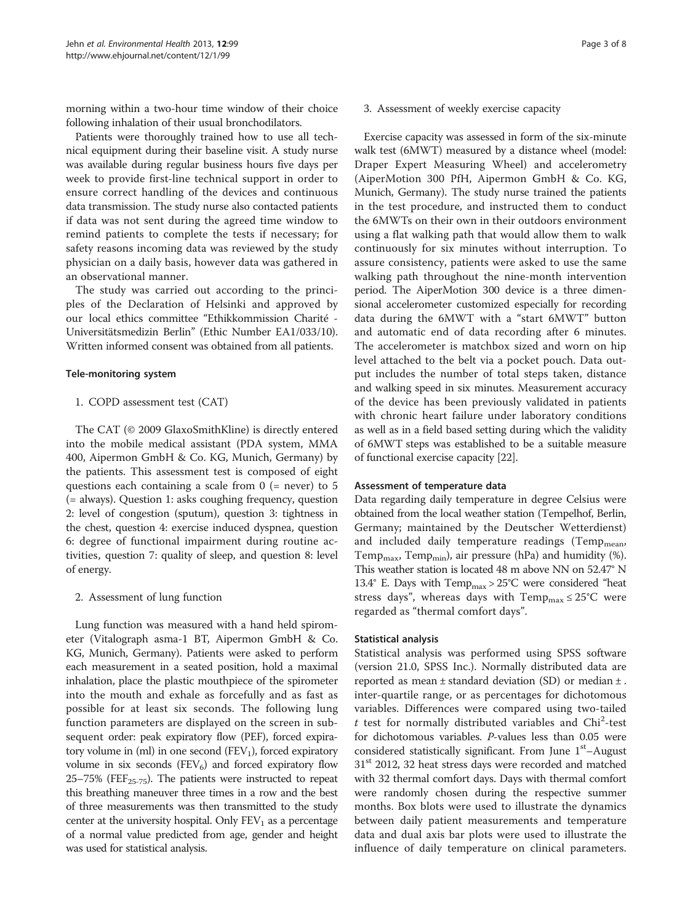morning within a two-hour time window of their choice following inhalation of their usual bronchodilators.

Patients were thoroughly trained how to use all technical equipment during their baseline visit. A study nurse was available during regular business hours five days per week to provide first-line technical support in order to ensure correct handling of the devices and continuous data transmission. The study nurse also contacted patients if data was not sent during the agreed time window to remind patients to complete the tests if necessary; for safety reasons incoming data was reviewed by the study physician on a daily basis, however data was gathered in an observational manner.

The study was carried out according to the principles of the Declaration of Helsinki and approved by our local ethics committee "Ethikkommission Charité - Universitätsmedizin Berlin" (Ethic Number EA1/033/10). Written informed consent was obtained from all patients.

#### Tele-monitoring system

#### 1. COPD assessment test (CAT)

The CAT (© 2009 GlaxoSmithKline) is directly entered into the mobile medical assistant (PDA system, MMA 400, Aipermon GmbH & Co. KG, Munich, Germany) by the patients. This assessment test is composed of eight questions each containing a scale from  $0$  (= never) to 5 (= always). Question 1: asks coughing frequency, question 2: level of congestion (sputum), question 3: tightness in the chest, question 4: exercise induced dyspnea, question 6: degree of functional impairment during routine activities, question 7: quality of sleep, and question 8: level of energy.

#### 2. Assessment of lung function

Lung function was measured with a hand held spirometer (Vitalograph asma-1 BT, Aipermon GmbH & Co. KG, Munich, Germany). Patients were asked to perform each measurement in a seated position, hold a maximal inhalation, place the plastic mouthpiece of the spirometer into the mouth and exhale as forcefully and as fast as possible for at least six seconds. The following lung function parameters are displayed on the screen in subsequent order: peak expiratory flow (PEF), forced expiratory volume in (ml) in one second  $(FEV<sub>1</sub>)$ , forced expiratory volume in six seconds ( $FEV_6$ ) and forced expiratory flow 25–75% ( $E\text{EF}_{25-75}$ ). The patients were instructed to repeat this breathing maneuver three times in a row and the best of three measurements was then transmitted to the study center at the university hospital. Only  $FEV<sub>1</sub>$  as a percentage of a normal value predicted from age, gender and height was used for statistical analysis.

#### 3. Assessment of weekly exercise capacity

Exercise capacity was assessed in form of the six-minute walk test (6MWT) measured by a distance wheel (model: Draper Expert Measuring Wheel) and accelerometry (AiperMotion 300 PfH, Aipermon GmbH & Co. KG, Munich, Germany). The study nurse trained the patients in the test procedure, and instructed them to conduct the 6MWTs on their own in their outdoors environment using a flat walking path that would allow them to walk continuously for six minutes without interruption. To assure consistency, patients were asked to use the same walking path throughout the nine-month intervention period. The AiperMotion 300 device is a three dimensional accelerometer customized especially for recording data during the 6MWT with a "start 6MWT" button and automatic end of data recording after 6 minutes. The accelerometer is matchbox sized and worn on hip level attached to the belt via a pocket pouch. Data output includes the number of total steps taken, distance and walking speed in six minutes. Measurement accuracy of the device has been previously validated in patients with chronic heart failure under laboratory conditions as well as in a field based setting during which the validity of 6MWT steps was established to be a suitable measure of functional exercise capacity [\[22](#page-7-0)].

#### Assessment of temperature data

Data regarding daily temperature in degree Celsius were obtained from the local weather station (Tempelhof, Berlin, Germany; maintained by the Deutscher Wetterdienst) and included daily temperature readings (Temp<sub>mean</sub>, Temp<sub>max</sub>, Temp<sub>min</sub>), air pressure (hPa) and humidity (%). This weather station is located 48 m above NN on 52.47° N 13.4° E. Days with  $Temp_{max} > 25^{\circ}C$  were considered "heat stress days", whereas days with  $Temp_{max} \leq 25^{\circ}C$  were regarded as "thermal comfort days".

## Statistical analysis

Statistical analysis was performed using SPSS software (version 21.0, SPSS Inc.). Normally distributed data are reported as mean  $\pm$  standard deviation (SD) or median  $\pm$ . inter-quartile range, or as percentages for dichotomous variables. Differences were compared using two-tailed  $t$  test for normally distributed variables and  $Chi^2$ -test for dichotomous variables. P-values less than 0.05 were considered statistically significant. From June  $1<sup>st</sup>$ -August 31<sup>st</sup> 2012, 32 heat stress days were recorded and matched with 32 thermal comfort days. Days with thermal comfort were randomly chosen during the respective summer months. Box blots were used to illustrate the dynamics between daily patient measurements and temperature data and dual axis bar plots were used to illustrate the influence of daily temperature on clinical parameters.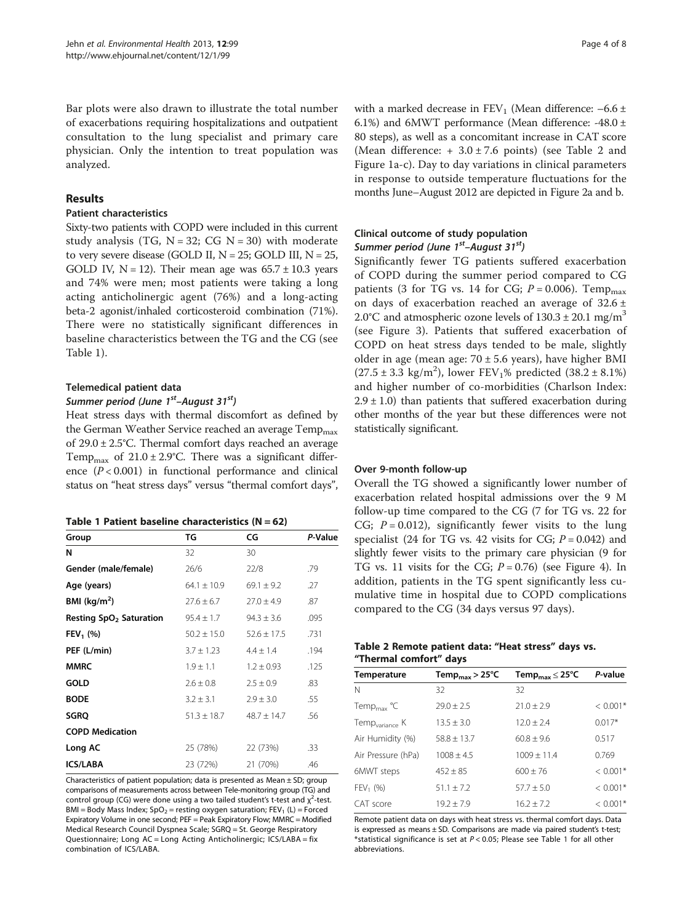<span id="page-3-0"></span>Bar plots were also drawn to illustrate the total number of exacerbations requiring hospitalizations and outpatient consultation to the lung specialist and primary care physician. Only the intention to treat population was analyzed.

#### Results

#### Patient characteristics

Sixty-two patients with COPD were included in this current study analysis (TG,  $N = 32$ ; CG  $N = 30$ ) with moderate to very severe disease (GOLD II,  $N = 25$ ; GOLD III,  $N = 25$ , GOLD IV,  $N = 12$ ). Their mean age was  $65.7 \pm 10.3$  years and 74% were men; most patients were taking a long acting anticholinergic agent (76%) and a long-acting beta-2 agonist/inhaled corticosteroid combination (71%). There were no statistically significant differences in baseline characteristics between the TG and the CG (see Table 1).

## Telemedical patient data

# Summer period (June  $1^{st}$ –August 31st)

Heat stress days with thermal discomfort as defined by the German Weather Service reached an average  $Temp_{max}$ of 29.0 ± 2.5°C. Thermal comfort days reached an average Temp<sub>max</sub> of  $21.0 \pm 2.9$ °C. There was a significant difference  $(P < 0.001)$  in functional performance and clinical status on "heat stress days" versus "thermal comfort days",

|  |  |  |  | Table 1 Patient baseline characteristics $(N = 62)$ |  |  |
|--|--|--|--|-----------------------------------------------------|--|--|
|--|--|--|--|-----------------------------------------------------|--|--|

| Group                               | TG              | CG              | P-Value |
|-------------------------------------|-----------------|-----------------|---------|
| N                                   | 32              | 30              |         |
| Gender (male/female)                | 26/6            | 22/8            | .79     |
| Age (years)                         | $64.1 \pm 10.9$ | $69.1 \pm 9.2$  | .27     |
| BMI $(kq/m2)$                       | $27.6 \pm 6.7$  | $27.0 \pm 4.9$  | .87     |
| Resting SpO <sub>2</sub> Saturation | $95.4 \pm 1.7$  | $94.3 \pm 3.6$  | .095    |
| $FEV_1 (%)$                         | $50.2 \pm 15.0$ | $52.6 \pm 17.5$ | .731    |
| PEF (L/min)                         | $3.7 \pm 1.23$  | $4.4 \pm 1.4$   | .194    |
| <b>MMRC</b>                         | $1.9 \pm 1.1$   | $1.2 \pm 0.93$  | .125    |
| <b>GOLD</b>                         | $2.6 \pm 0.8$   | $2.5 \pm 0.9$   | .83     |
| <b>BODE</b>                         | $3.2 \pm 3.1$   | $2.9 \pm 3.0$   | .55     |
| SGRQ                                | $51.3 \pm 18.7$ | $48.7 \pm 14.7$ | .56     |
| <b>COPD Medication</b>              |                 |                 |         |
| Long AC                             | 25 (78%)        | 22 (73%)        | .33     |
| <b>ICS/LABA</b>                     | 23 (72%)        | 21 (70%)        | .46     |

Characteristics of patient population; data is presented as Mean  $\pm$  SD; group comparisons of measurements across between Tele-monitoring group (TG) and control group (CG) were done using a two tailed student's t-test and  $\chi^2$ -test. BMI = Body Mass Index;  $SpO<sub>2</sub>$  = resting oxygen saturation; FEV<sub>1</sub> (L) = Forced Expiratory Volume in one second; PEF = Peak Expiratory Flow; MMRC = Modified Medical Research Council Dyspnea Scale; SGRQ = St. George Respiratory Questionnaire; Long AC = Long Acting Anticholinergic; ICS/LABA = fix combination of ICS/LABA.

with a marked decrease in  $FEV_1$  (Mean difference:  $-6.6 \pm$ 6.1%) and 6MWT performance (Mean difference: -48.0 ± 80 steps), as well as a concomitant increase in CAT score (Mean difference:  $+3.0 \pm 7.6$  points) (see Table 2 and Figure [1a](#page-4-0)-c). Day to day variations in clinical parameters in response to outside temperature fluctuations for the months June–August 2012 are depicted in Figure [2](#page-4-0)a and b.

# Clinical outcome of study population Summer period (June  $1^{st}$ –August 31st)

Significantly fewer TG patients suffered exacerbation of COPD during the summer period compared to CG patients (3 for TG vs. 14 for CG;  $P = 0.006$ ). Temp<sub>max</sub> on days of exacerbation reached an average of 32.6 ± 2.0°C and atmospheric ozone levels of  $130.3 \pm 20.1$  mg/m<sup>3</sup> (see Figure [3\)](#page-5-0). Patients that suffered exacerbation of COPD on heat stress days tended to be male, slightly older in age (mean age:  $70 \pm 5.6$  years), have higher BMI  $(27.5 \pm 3.3 \text{ kg/m}^2)$ , lower FEV<sub>1</sub>% predicted  $(38.2 \pm 8.1\%)$ and higher number of co-morbidities (Charlson Index:  $2.9 \pm 1.0$ ) than patients that suffered exacerbation during other months of the year but these differences were not statistically significant.

#### Over 9-month follow-up

Overall the TG showed a significantly lower number of exacerbation related hospital admissions over the 9 M follow-up time compared to the CG (7 for TG vs. 22 for CG;  $P = 0.012$ ), significantly fewer visits to the lung specialist (24 for TG vs. 42 visits for CG;  $P = 0.042$ ) and slightly fewer visits to the primary care physician (9 for TG vs. 11 visits for the CG;  $P = 0.76$ ) (see Figure [4\)](#page-5-0). In addition, patients in the TG spent significantly less cumulative time in hospital due to COPD complications compared to the CG (34 days versus 97 days).

#### Table 2 Remote patient data: "Heat stress" days vs. "Thermal comfort" days

| <b>Temperature</b>         | Temp $_{max}$ > 25 $^{\circ}$ C | Temp $_{max}$ $\leq$ 25°C | P-value    |
|----------------------------|---------------------------------|---------------------------|------------|
| Ν                          | 32                              | 32                        |            |
| Temp <sub>max</sub> °C     | $29.0 \pm 2.5$                  | $21.0 \pm 2.9$            | $< 0.001*$ |
| Temp <sub>variance</sub> K | $13.5 \pm 3.0$                  | $12.0 + 2.4$              | $0.017*$   |
| Air Humidity (%)           | $58.8 + 13.7$                   | $60.8 + 9.6$              | 0.517      |
| Air Pressure (hPa)         | $1008 \pm 4.5$                  | $1009 + 11.4$             | 0.769      |
| 6MWT steps                 | $452 + 85$                      | $600 + 76$                | $< 0.001*$ |
| $FEV_1 (%)$                | $51.1 \pm 7.2$                  | $57.7 \pm 5.0$            | $< 0.001*$ |
| CAT score                  | $19.2 + 7.9$                    | $16.2 + 7.2$              | $< 0.001*$ |

Remote patient data on days with heat stress vs. thermal comfort days. Data is expressed as means ± SD. Comparisons are made via paired student's t-test; \*statistical significance is set at  $P < 0.05$ ; Please see Table 1 for all other abbreviations.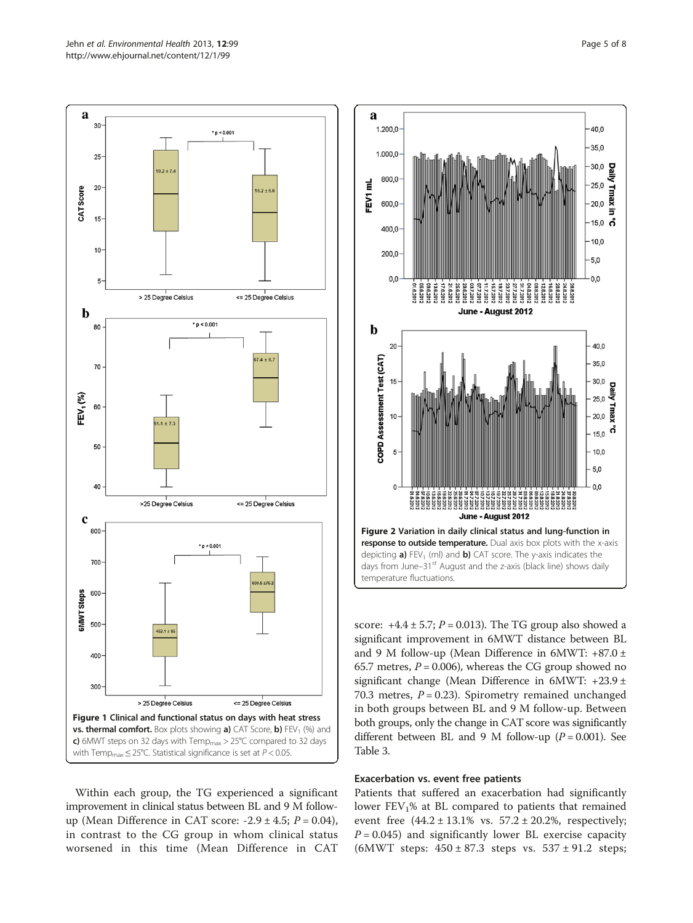<span id="page-4-0"></span>

Within each group, the TG experienced a significant improvement in clinical status between BL and 9 M followup (Mean Difference in CAT score:  $-2.9 \pm 4.5$ ;  $P = 0.04$ ), in contrast to the CG group in whom clinical status worsened in this time (Mean Difference in CAT



score:  $+4.4 \pm 5.7$ ;  $P = 0.013$ ). The TG group also showed a significant improvement in 6MWT distance between BL and 9 M follow-up (Mean Difference in 6MWT: +87.0 ± 65.7 metres,  $P = 0.006$ ), whereas the CG group showed no significant change (Mean Difference in 6MWT: +23.9 ± 70.3 metres,  $P = 0.23$ ). Spirometry remained unchanged in both groups between BL and 9 M follow-up. Between both groups, only the change in CAT score was significantly different between BL and 9 M follow-up ( $P = 0.001$ ). See Table [3](#page-6-0).

# Exacerbation vs. event free patients

Patients that suffered an exacerbation had significantly lower  $FEV<sub>1</sub>%$  at BL compared to patients that remained event free  $(44.2 \pm 13.1\% \text{ vs. } 57.2 \pm 20.2\% \text{, respectively})$ ;  $P = 0.045$ ) and significantly lower BL exercise capacity (6MWT steps:  $450 \pm 87.3$  steps vs.  $537 \pm 91.2$  steps;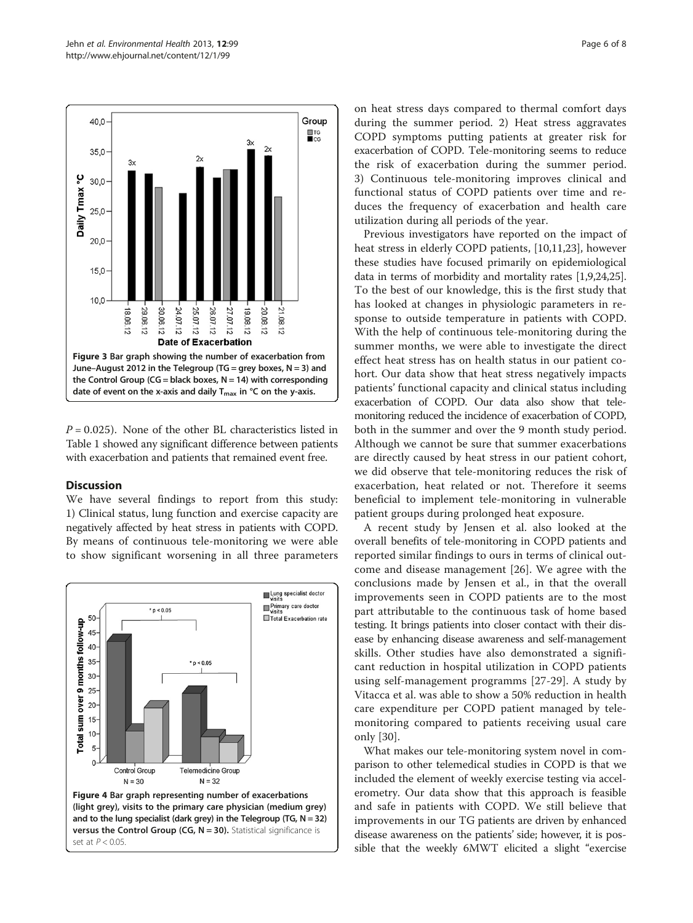<span id="page-5-0"></span>

 $P = 0.025$ ). None of the other BL characteristics listed in Table [1](#page-3-0) showed any significant difference between patients with exacerbation and patients that remained event free.

#### **Discussion**

We have several findings to report from this study: 1) Clinical status, lung function and exercise capacity are negatively affected by heat stress in patients with COPD. By means of continuous tele-monitoring we were able to show significant worsening in all three parameters



on heat stress days compared to thermal comfort days during the summer period. 2) Heat stress aggravates COPD symptoms putting patients at greater risk for exacerbation of COPD. Tele-monitoring seems to reduce the risk of exacerbation during the summer period. 3) Continuous tele-monitoring improves clinical and functional status of COPD patients over time and reduces the frequency of exacerbation and health care utilization during all periods of the year.

Previous investigators have reported on the impact of heat stress in elderly COPD patients, [\[10,11,23\]](#page-7-0), however these studies have focused primarily on epidemiological data in terms of morbidity and mortality rates [\[1,9,24,25](#page-7-0)]. To the best of our knowledge, this is the first study that has looked at changes in physiologic parameters in response to outside temperature in patients with COPD. With the help of continuous tele-monitoring during the summer months, we were able to investigate the direct effect heat stress has on health status in our patient cohort. Our data show that heat stress negatively impacts patients' functional capacity and clinical status including exacerbation of COPD. Our data also show that telemonitoring reduced the incidence of exacerbation of COPD, both in the summer and over the 9 month study period. Although we cannot be sure that summer exacerbations are directly caused by heat stress in our patient cohort, we did observe that tele-monitoring reduces the risk of exacerbation, heat related or not. Therefore it seems beneficial to implement tele-monitoring in vulnerable patient groups during prolonged heat exposure.

A recent study by Jensen et al. also looked at the overall benefits of tele-monitoring in COPD patients and reported similar findings to ours in terms of clinical outcome and disease management [[26\]](#page-7-0). We agree with the conclusions made by Jensen et al., in that the overall improvements seen in COPD patients are to the most part attributable to the continuous task of home based testing. It brings patients into closer contact with their disease by enhancing disease awareness and self-management skills. Other studies have also demonstrated a significant reduction in hospital utilization in COPD patients using self-management programms [[27-29](#page-7-0)]. A study by Vitacca et al. was able to show a 50% reduction in health care expenditure per COPD patient managed by telemonitoring compared to patients receiving usual care only [\[30](#page-7-0)].

What makes our tele-monitoring system novel in comparison to other telemedical studies in COPD is that we included the element of weekly exercise testing via accelerometry. Our data show that this approach is feasible and safe in patients with COPD. We still believe that improvements in our TG patients are driven by enhanced disease awareness on the patients' side; however, it is possible that the weekly 6MWT elicited a slight "exercise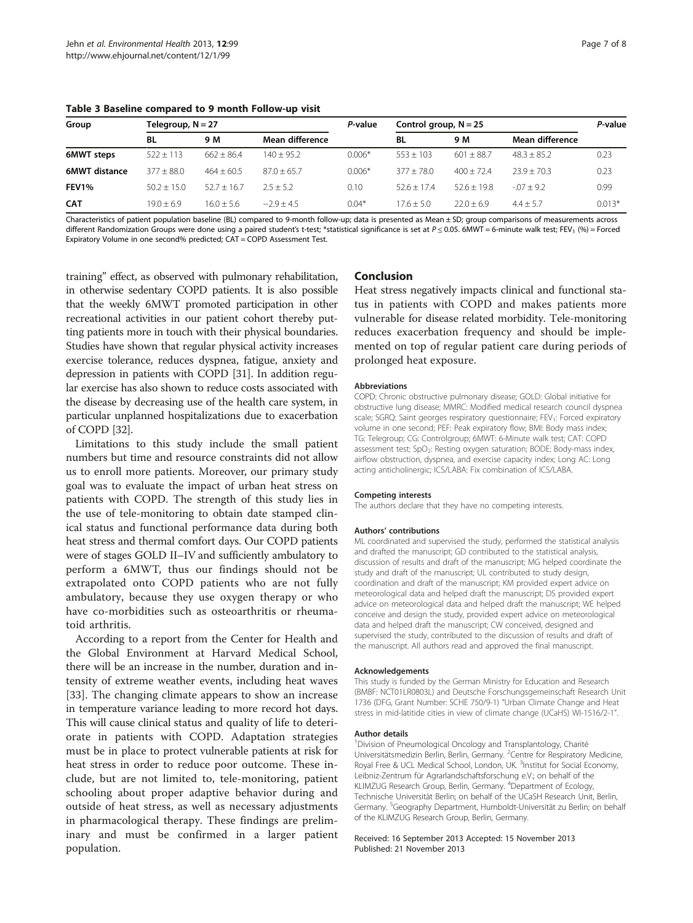| Group                | Telegroup, $N = 27$ |              |                 | P-value  | Control group, $N = 25$ |              |                 | P-value  |
|----------------------|---------------------|--------------|-----------------|----------|-------------------------|--------------|-----------------|----------|
|                      | BL                  | 9 M          | Mean difference |          | <b>BL</b>               | 9 M          | Mean difference |          |
| 6MWT steps           | $522 + 113$         | $662 + 86.4$ | $140 + 95.2$    | $0.006*$ | $553 + 103$             | $601 + 88.7$ | $48.3 + 85.2$   | 0.23     |
| <b>6MWT</b> distance | $377 + 880$         | $464 + 60.5$ | $870 + 657$     | $0.006*$ | $377 + 780$             | $400 + 72.4$ | $739 + 703$     | 0.23     |
| FEV1%                | $50.2 + 15.0$       | $527 + 167$  | $2.5 + 5.2$     | 0.10     | $52.6 + 17.4$           | $526 + 198$  | $-07 + 9.2$     | 0.99     |
| <b>CAT</b>           | $19.0 + 6.9$        | $16.0 + 5.6$ | $-2.9 + 4.5$    | $0.04*$  | $17.6 + 5.0$            | $22.0 + 6.9$ | $4.4 + 5.7$     | $0.013*$ |

<span id="page-6-0"></span>Table 3 Baseline compared to 9 month Follow-up visit

Characteristics of patient population baseline (BL) compared to 9-month follow-up; data is presented as Mean ± SD; group comparisons of measurements across different Randomization Groups were done using a paired student's t-test; \*statistical significance is set at  $P \le 0.05$ . 6MWT = 6-minute walk test; FEV<sub>1</sub> (%) = Forced Expiratory Volume in one second% predicted; CAT = COPD Assessment Test.

training" effect, as observed with pulmonary rehabilitation, in otherwise sedentary COPD patients. It is also possible that the weekly 6MWT promoted participation in other recreational activities in our patient cohort thereby putting patients more in touch with their physical boundaries. Studies have shown that regular physical activity increases exercise tolerance, reduces dyspnea, fatigue, anxiety and depression in patients with COPD [[31](#page-7-0)]. In addition regular exercise has also shown to reduce costs associated with the disease by decreasing use of the health care system, in particular unplanned hospitalizations due to exacerbation of COPD [\[32](#page-7-0)].

Limitations to this study include the small patient numbers but time and resource constraints did not allow us to enroll more patients. Moreover, our primary study goal was to evaluate the impact of urban heat stress on patients with COPD. The strength of this study lies in the use of tele-monitoring to obtain date stamped clinical status and functional performance data during both heat stress and thermal comfort days. Our COPD patients were of stages GOLD II–IV and sufficiently ambulatory to perform a 6MWT, thus our findings should not be extrapolated onto COPD patients who are not fully ambulatory, because they use oxygen therapy or who have co-morbidities such as osteoarthritis or rheumatoid arthritis.

According to a report from the Center for Health and the Global Environment at Harvard Medical School, there will be an increase in the number, duration and intensity of extreme weather events, including heat waves [[33\]](#page-7-0). The changing climate appears to show an increase in temperature variance leading to more record hot days. This will cause clinical status and quality of life to deteriorate in patients with COPD. Adaptation strategies must be in place to protect vulnerable patients at risk for heat stress in order to reduce poor outcome. These include, but are not limited to, tele-monitoring, patient schooling about proper adaptive behavior during and outside of heat stress, as well as necessary adjustments in pharmacological therapy. These findings are preliminary and must be confirmed in a larger patient population.

#### Conclusion

Heat stress negatively impacts clinical and functional status in patients with COPD and makes patients more vulnerable for disease related morbidity. Tele-monitoring reduces exacerbation frequency and should be implemented on top of regular patient care during periods of prolonged heat exposure.

#### Abbreviations

COPD: Chronic obstructive pulmonary disease; GOLD: Global initiative for obstructive lung disease; MMRC: Modified medical research council dyspnea scale; SGRQ: Saint georges respiratory questionnaire; FEV<sub>1</sub>: Forced expiratory volume in one second; PEF: Peak expiratory flow; BMI: Body mass index; TG: Telegroup; CG: Controlgroup; 6MWT: 6-Minute walk test; CAT: COPD assessment test; SpO<sub>2</sub>: Resting oxygen saturation; BODE: Body-mass index, airflow obstruction, dyspnea, and exercise capacity index; Long AC: Long acting anticholinergic; ICS/LABA: Fix combination of ICS/LABA.

#### Competing interests

The authors declare that they have no competing interests.

#### Authors' contributions

ML coordinated and supervised the study, performed the statistical analysis and drafted the manuscript: GD contributed to the statistical analysis discussion of results and draft of the manuscript; MG helped coordinate the study and draft of the manuscript; UL contributed to study design, coordination and draft of the manuscript; KM provided expert advice on meteorological data and helped draft the manuscript; DS provided expert advice on meteorological data and helped draft the manuscript; WE helped conceive and design the study, provided expert advice on meteorological data and helped draft the manuscript; CW conceived, designed and supervised the study, contributed to the discussion of results and draft of the manuscript. All authors read and approved the final manuscript.

#### Acknowledgements

This study is funded by the German Ministry for Education and Research (BMBF: NCT01LR0803L) and Deutsche Forschungsgemeinschaft Research Unit 1736 (DFG, Grant Number: SCHE 750/9-1) "Urban Climate Change and Heat stress in mid-latitide cities in view of climate change (UCaHS) WI-1516/2-1".

#### Author details

<sup>1</sup> Division of Pneumological Oncology and Transplantology, Charité Universitätsmedizin Berlin, Berlin, Germany. <sup>2</sup>Centre for Respiratory Medicine Royal Free & UCL Medical School, London, UK. <sup>3</sup>Institut for Social Economy, Leibniz-Zentrum für Agrarlandschaftsforschung e.V.; on behalf of the KLIMZUG Research Group, Berlin, Germany. <sup>4</sup>Department of Ecology Technische Universität Berlin; on behalf of the UCaSH Research Unit, Berlin, Germany. <sup>5</sup>Geography Department, Humboldt-Universität zu Berlin; on behalf of the KLIMZUG Research Group, Berlin, Germany.

#### Received: 16 September 2013 Accepted: 15 November 2013 Published: 21 November 2013